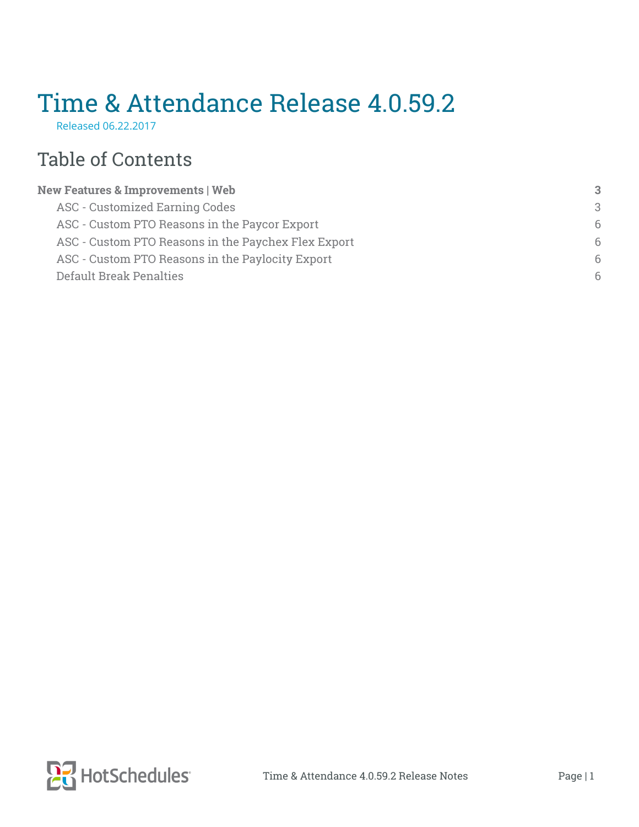# Time & Attendance Release 4.0.59.2

Released 06.22.2017

## Table of Contents

| <b>New Features &amp; Improvements   Web</b>        | 3 |
|-----------------------------------------------------|---|
| <b>ASC - Customized Earning Codes</b>               | 3 |
| ASC - Custom PTO Reasons in the Paycor Export       | 6 |
| ASC - Custom PTO Reasons in the Paychex Flex Export | 6 |
| ASC - Custom PTO Reasons in the Paylocity Export    | 6 |
| <b>Default Break Penalties</b>                      | 6 |
|                                                     |   |

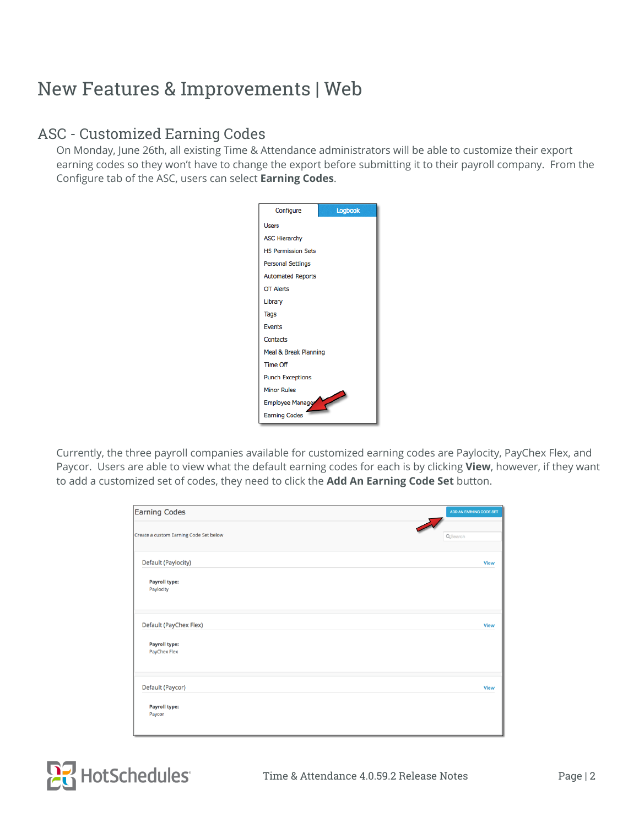### <span id="page-1-0"></span>New Features & Improvements | Web

#### <span id="page-1-1"></span>ASC - Customized Earning Codes

On Monday, June 26th, all existing Time & Attendance administrators will be able to customize their export earning codes so they won't have to change the export before submitting it to their payroll company. From the Configure tab of the ASC, users can select **Earning Codes**.



Currently, the three payroll companies available for customized earning codes are Paylocity, PayChex Flex, and Paycor. Users are able to view what the default earning codes for each is by clicking **View**, however, if they want to add a customized set of codes, they need to click the **Add An Earning Code Set** button.

| <b>Earning Codes</b>                   | ADD AN EARNING CODE SET |
|----------------------------------------|-------------------------|
| Create a custom Earning Code Set below | QSearch                 |
| Default (Paylocity)                    | <b>View</b>             |
| <b>Payroll type:</b><br>Paylocity      |                         |
| Default (PayChex Flex)                 | <b>View</b>             |
| <b>Payroll type:</b><br>PayChex Flex   |                         |
| Default (Paycor)                       | <b>View</b>             |
| <b>Payroll type:</b><br>Paycor         |                         |

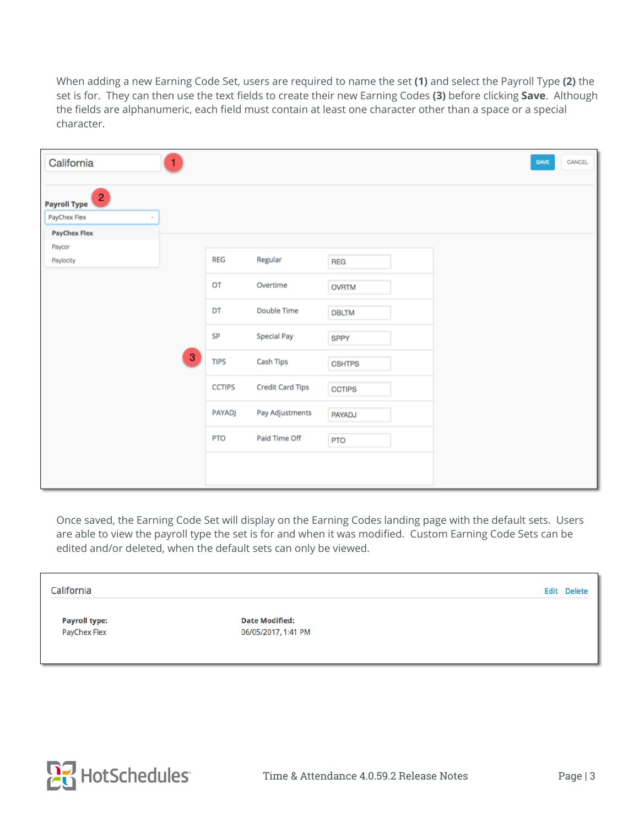When adding a new Earning Code Set, users are required to name the set **(1)** and select the Payroll Type **(2)** the set is for. They can then use the text fields to create their new Earning Codes (3) before clicking Save. Although the fields are alphanumeric, each field must contain at least one character other than a space or a special character.

| California<br>1                       |                                          |                         |               | CANCEL<br>SAVE |
|---------------------------------------|------------------------------------------|-------------------------|---------------|----------------|
| $\overline{a}$<br><b>Payroll Type</b> |                                          |                         |               |                |
| PayChex Flex                          |                                          |                         |               |                |
| <b>PayChex Flex</b>                   |                                          |                         |               |                |
| Paycor                                |                                          |                         |               |                |
| Paylocity                             | <b>REG</b>                               | Regular                 | <b>REG</b>    |                |
|                                       | OT                                       | Overtime                | <b>OVRTM</b>  |                |
|                                       | DT                                       | <b>Double Time</b>      | <b>DBLTM</b>  |                |
|                                       | <b>SP</b>                                | <b>Special Pay</b>      | SPPY          |                |
|                                       | $\ensuremath{\mathsf{3}}$<br><b>TIPS</b> | <b>Cash Tips</b>        | <b>CSHTPS</b> |                |
|                                       | <b>CCTIPS</b>                            | <b>Credit Card Tips</b> | <b>CCTIPS</b> |                |
|                                       | <b>PAYADJ</b>                            | Pay Adjustments         | <b>PAYADJ</b> |                |
|                                       | <b>PTO</b>                               | Paid Time Off           | <b>PTO</b>    |                |
|                                       |                                          |                         |               |                |

Once saved, the Earning Code Set will display on the Earning Codes landing page with the default sets. Users are able to view the payroll type the set is for and when it was modified. Custom Earning Code Sets can be edited and/or deleted, when the default sets can only be viewed.

California

**Payroll type: PayChex Flex** 

**Date Modified:** 06/05/2017, 1:41 PM



Edit Delete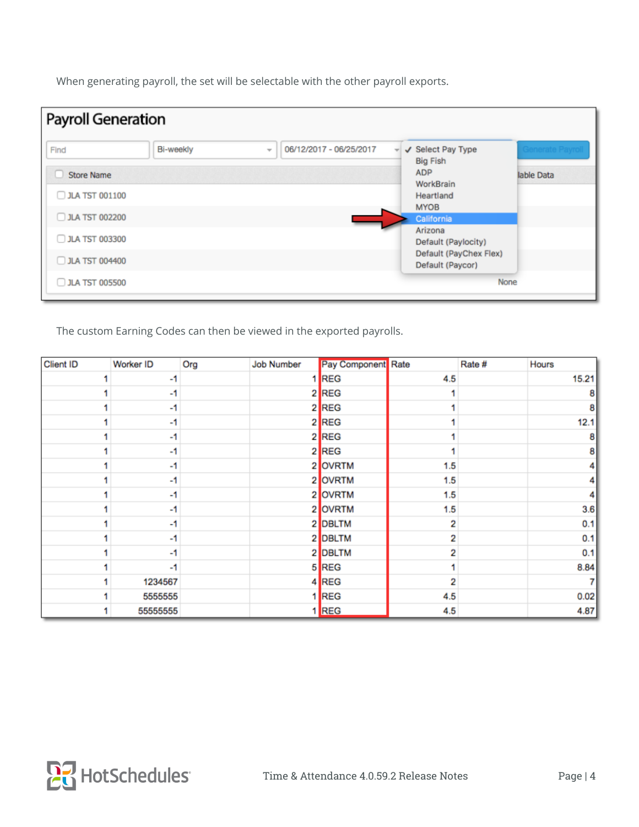When generating payroll, the set will be selectable with the other payroll exports.

| <b>Payroll Generation</b> |                  |                                          |                                            |             |
|---------------------------|------------------|------------------------------------------|--------------------------------------------|-------------|
| Find                      | <b>Bi-weekly</b> | 06/12/2017 - 06/25/2017<br>$\mathcal{L}$ | ✔ Select Pay Type<br>÷<br><b>Big Fish</b>  |             |
| <b>Store Name</b><br>U    |                  |                                          | ADP                                        | lable Data  |
| JLA TST 001100            |                  |                                          | WorkBrain<br>Heartland                     |             |
| <b>JLA TST 002200</b>     |                  |                                          | <b>MYOB</b><br>California                  |             |
| JLA TST 003300            |                  |                                          | Arizona<br>Default (Paylocity)             |             |
| <b>JLA TST 004400</b>     |                  |                                          | Default (PayChex Flex)<br>Default (Paycor) |             |
| JLA TST 005500            |                  |                                          |                                            | <b>None</b> |

The custom Earning Codes can then be viewed in the exported payrolls.

| <b>Client ID</b> | Worker ID | Org | <b>Job Number</b> | Pay Component Rate |     | Rate # | Hours |
|------------------|-----------|-----|-------------------|--------------------|-----|--------|-------|
|                  | $-1$      |     |                   | 1 REG              | 4.5 |        | 15.21 |
|                  | $-1$      |     |                   | 2 REG              |     |        | 8     |
|                  | $-1$      |     |                   | 2 REG              |     |        | 8     |
|                  | -1        |     |                   | 2 REG              |     |        | 12.1  |
|                  | $-1$      |     |                   | 2 REG              |     |        | 81    |
|                  | -1        |     |                   | 2 REG              |     |        | 8     |
|                  | -1        |     |                   | 2 OVRTM            | 1.5 |        | 4     |
|                  | $-1$      |     |                   | 2 OVRTM            | 1.5 |        | 4     |
|                  | $-1$      |     |                   | 2 OVRTM            | 1.5 |        | 4     |
|                  | $-1$      |     |                   | 2 OVRTM            | 1.5 |        | 3.6   |
|                  | -1        |     |                   | 2 DBLTM            | 2   |        | 0.1   |
|                  | -1        |     |                   | 2 DBLTM            | 2   |        | 0.1   |
|                  | -1        |     |                   | 2 DBLTM            | 2   |        | 0.1   |
|                  | $-1$      |     |                   | 5 REG              |     |        | 8.84  |
|                  | 1234567   |     |                   | 4 REG              | 2   |        | 71    |
|                  | 5555555   |     |                   | 1 REG              | 4.5 |        | 0.02  |
|                  | 55555555  |     |                   | <b>REG</b>         | 4.5 |        | 4.87  |